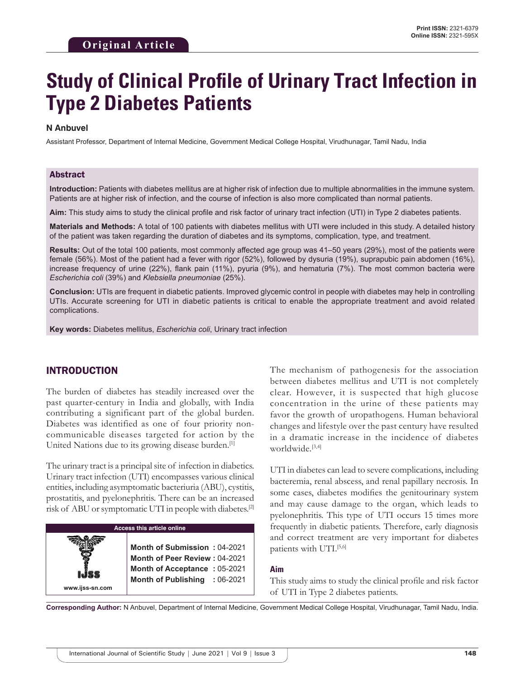# **Study of Clinical Profile of Urinary Tract Infection in Type 2 Diabetes Patients**

#### **N Anbuvel**

Assistant Professor, Department of Internal Medicine, Government Medical College Hospital, Virudhunagar, Tamil Nadu, India

#### Abstract

**Introduction:** Patients with diabetes mellitus are at higher risk of infection due to multiple abnormalities in the immune system. Patients are at higher risk of infection, and the course of infection is also more complicated than normal patients.

**Aim:** This study aims to study the clinical profile and risk factor of urinary tract infection (UTI) in Type 2 diabetes patients.

**Materials and Methods:** A total of 100 patients with diabetes mellitus with UTI were included in this study. A detailed history of the patient was taken regarding the duration of diabetes and its symptoms, complication, type, and treatment.

**Results:** Out of the total 100 patients, most commonly affected age group was 41–50 years (29%), most of the patients were female (56%). Most of the patient had a fever with rigor (52%), followed by dysuria (19%), suprapubic pain abdomen (16%), increase frequency of urine (22%), flank pain (11%), pyuria (9%), and hematuria (7%). The most common bacteria were *Escherichia coli* (39%) and *Klebsiella pneumoniae* (25%).

**Conclusion:** UTIs are frequent in diabetic patients. Improved glycemic control in people with diabetes may help in controlling UTIs. Accurate screening for UTI in diabetic patients is critical to enable the appropriate treatment and avoid related complications.

**Key words:** Diabetes mellitus, *Escherichia coli*, Urinary tract infection

# INTRODUCTION

**www.ijss-sn.com**

The burden of diabetes has steadily increased over the past quarter-century in India and globally, with India contributing a significant part of the global burden. Diabetes was identified as one of four priority noncommunicable diseases targeted for action by the United Nations due to its growing disease burden.<sup>[1]</sup>

The urinary tract is a principal site of infection in diabetics. Urinary tract infection (UTI) encompasses various clinical entities, including asymptomatic bacteriuria (ABU), cystitis, prostatitis, and pyelonephritis. There can be an increased risk of ABU or symptomatic UTI in people with diabetes.[2]

**Access this article online**

**Month of Submission :** 04-2021 **Month of Peer Review :** 04-2021 **Month of Acceptance :** 05-2021 **Month of Publishing :** 06-2021 The mechanism of pathogenesis for the association between diabetes mellitus and UTI is not completely clear. However, it is suspected that high glucose concentration in the urine of these patients may favor the growth of uropathogens. Human behavioral changes and lifestyle over the past century have resulted in a dramatic increase in the incidence of diabetes worldwide.[3,4]

UTI in diabetes can lead to severe complications, including bacteremia, renal abscess, and renal papillary necrosis. In some cases, diabetes modifies the genitourinary system and may cause damage to the organ, which leads to pyelonephritis. This type of UTI occurs 15 times more frequently in diabetic patients. Therefore, early diagnosis and correct treatment are very important for diabetes patients with UTI.<sup>[5,6]</sup>

#### **Aim**

This study aims to study the clinical profile and risk factor of UTI in Type 2 diabetes patients.

**Corresponding Author:** N Anbuvel, Department of Internal Medicine, Government Medical College Hospital, Virudhunagar, Tamil Nadu, India.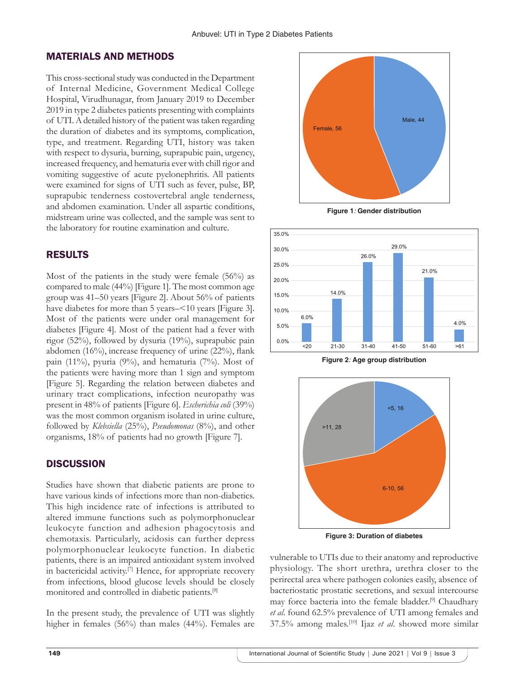# MATERIALS AND METHODS

This cross-sectional study was conducted in the Department of Internal Medicine, Government Medical College Hospital, Virudhunagar, from January 2019 to December 2019 in type 2 diabetes patients presenting with complaints of UTI. Adetailed history of the patient was taken regarding the duration of diabetes and its symptoms, complication, type, and treatment. Regarding UTI, history was taken with respect to dysuria, burning, suprapubic pain, urgency, increased frequency, and hematuria ever with chill rigor and vomiting suggestive of acute pyelonephritis. All patients were examined for signs of UTI such as fever, pulse, BP, suprapubic tenderness costovertebral angle tenderness, and abdomen examination. Under all aspartic conditions, midstream urine was collected, and the sample was sent to the laboratory for routine examination and culture.

# RESULTS

Most of the patients in the study were female (56%) as compared to male (44%) [Figure 1]. The most common age group was 41–50 years [Figure 2]. About 56% of patients have diabetes for more than 5 years–<10 years [Figure 3]. Most of the patients were under oral management for diabetes [Figure 4]. Most of the patient had a fever with rigor (52%), followed by dysuria (19%), suprapubic pain abdomen (16%), increase frequency of urine (22%), flank pain (11%), pyuria (9%), and hematuria (7%). Most of the patients were having more than 1 sign and symptom [Figure 5]. Regarding the relation between diabetes and urinary tract complications, infection neuropathy was present in 48% of patients [Figure 6]. *Escherichia coli* (39%) was the most common organism isolated in urine culture, followed by *Klebsiella* (25%), *Pseudomonas* (8%), and other organisms, 18% of patients had no growth [Figure 7].

#### **DISCUSSION**

Studies have shown that diabetic patients are prone to have various kinds of infections more than non-diabetics. This high incidence rate of infections is attributed to altered immune functions such as polymorphonuclear leukocyte function and adhesion phagocytosis and chemotaxis. Particularly, acidosis can further depress polymorphonuclear leukocyte function. In diabetic patients, there is an impaired antioxidant system involved in bactericidal activity.[7] Hence, for appropriate recovery from infections, blood glucose levels should be closely monitored and controlled in diabetic patients.[8]

In the present study, the prevalence of UTI was slightly higher in females (56%) than males (44%). Females are



**Figure 1***:* **Gender distribution**







**Figure 3: Duration of diabetes**

vulnerable to UTIs due to their anatomy and reproductive physiology. The short urethra, urethra closer to the perirectal area where pathogen colonies easily, absence of bacteriostatic prostatic secretions, and sexual intercourse may force bacteria into the female bladder.[9] Chaudhary *et al*. found 62.5% prevalence of UTI among females and 37.5% among males.[10] Ijaz *et al*. showed more similar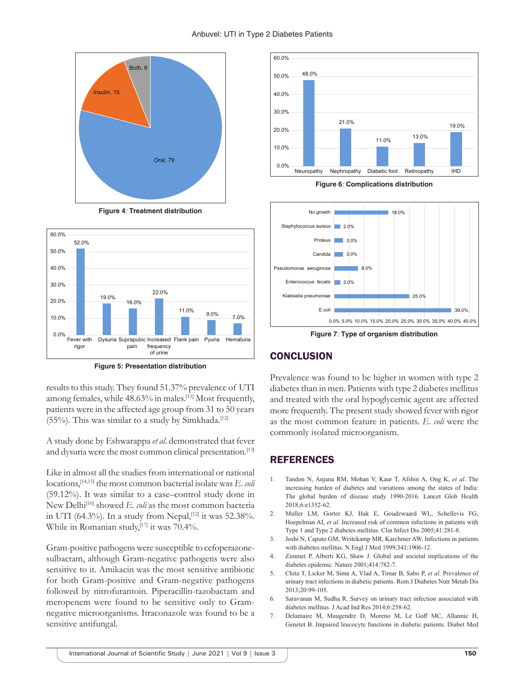#### Anbuvel: UTI in Type 2 Diabetes Patients







**Figure 5: Presentation distribution**

results to this study. They found 51.37% prevalence of UTI among females, while 48.63% in males.[11] Most frequently, patients were in the affected age group from 31 to 50 years  $(55%)$ . This was similar to a study by Simkhada.<sup>[12]</sup>

A study done by Eshwarappa *et al*. demonstrated that fever and dysuria were the most common clinical presentation.<sup>[13]</sup>

Like in almost all the studies from international or national locations,[14,15] the most common bacterial isolate was *E. coli* (59.12%). It was similar to a case–control study done in New Delhi<sup>[16]</sup> showed *E. coli* as the most common bacteria in UTI (64.3%). In a study from Nepal,<sup>[12]</sup> it was 52.38%. While in Romanian study,<sup>[17]</sup> it was 70.4%.

Gram-positive pathogens were susceptible to cefoperazonesulbactam, although Gram-negative pathogens were also sensitive to it. Amikacin was the most sensitive antibiotic for both Gram-positive and Gram-negative pathogens followed by nitrofurantoin. Piperacillin-tazobactam and meropenem were found to be sensitive only to Gramnegative microorganisms. Itraconazole was found to be a sensitive antifungal.



**Figure 6***:* **Complications distribution**



**Figure 7***:* **Type of organism distribution**

# **CONCLUSION**

Prevalence was found to be higher in women with type 2 diabetes than in men. Patients with type 2 diabetes mellitus and treated with the oral hypoglycemic agent are affected more frequently. The present study showed fever with rigor as the most common feature in patients. *E. coli* were the commonly isolated microorganism.

# **REFERENCES**

- 1. Tandon N, Anjana RM, Mohan V, Kaur T, Afshin A, Ong K, *et al*. The increasing burden of diabetes and variations among the states of India: The global burden of disease study 1990-2016. Lancet Glob Health 2018;6:e1352-62.
- 2. Muller LM, Gorter KJ, Hak E, Goudzwaard WL, Schellevis FG, Hoepelman AI, *et al*. Increased risk of common infections in patients with Type 1 and Type 2 diabetes mellitus. Clin Infect Dis 2005;41:281-8.
- 3. Joshi N, Caputo GM, Weitekamp MR, Karchmer AW. Infections in patients with diabetes mellitus. N Engl J Med 1999;341:1906-12.
- 4. Zimmet P, Alberti KG, Shaw J. Global and societal implications of the diabetes epidemic. Nature 2001;414:782-7.
- 5. Chita T, Licker M, Sima A, Vlad A, Timar B, Sabo P, *et al*. Prevalence of urinary tract infections in diabetic patients. Rom J Diabetes Nutr Metab Dis 2013;20:99-105.
- 6. Saravanan M, Sudha R. Survey on urinary tract infection associated with diabetes mellitus. J Acad Ind Res 2014;6:258-62.
- 7. Delamaire M, Maugendre D, Moreno M, Le Goff MC, Allannic H, Genetet B. Impaired leucocyte functions in diabetic patients. Diabet Med